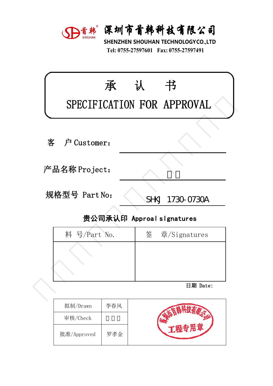

深圳市首韩科技有限公司<br>SHENZHEN SHOUHAN TECHNOLOGYCO.,LTD<br>Tel: 0755-27597601 Fax: 0755-27597491 **宋圳市首韩科技有限公司**<br>HENZHEN SHOUHAN TECHNOLOGYCO.,LTD<br>Tel: 0755-27597601 Fax: 0755-27597491

|   |               | D首韩 深圳市首韩科技有限公司<br>SHENZHEN SHOUHAN TECHNOLOGYCO.,LTD<br>Tel: 0755-27597601 Fax: 0755-27597491 |  |
|---|---------------|------------------------------------------------------------------------------------------------|--|
|   | 承             | 认<br>书<br>SPECIFICATION FOR APPROVAL                                                           |  |
| 客 | 户 Customer:   |                                                                                                |  |
|   | 产品名称 Project: |                                                                                                |  |
|   | 规格型号 Part No: | SHKJ 1730-0730A                                                                                |  |
|   |               | 贵公司承认印 Approal slgnatures                                                                      |  |
|   | 料 号/Part No.  | 签<br>章/Signatures                                                                              |  |
|   |               |                                                                                                |  |
|   |               | 日期 Date:                                                                                       |  |

| ‼硲型号 Part No: | SHKJ 1730-0730A           |
|---------------|---------------------------|
|               | 贵公司承认印 Approal slgnatures |
| 料 号/Part No.  | 签 章/Signatures            |
|               |                           |
|               |                           |
|               |                           |
|               | 日期 Date:                  |
|               |                           |

| 拟制/Drawn    | 李春风 |  |
|-------------|-----|--|
| 审核/Check    |     |  |
| 批准/Approved | 罗孝金 |  |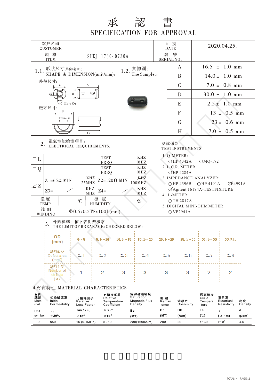## 承 認 書<br>SPECIFICATION FOR APPROVAL

| 客户名稱<br><b>CUSTOMER</b>                                                                                      |                                                                           |                                                        |                                                                                   |                                                         |                       | 日期<br><b>DATE</b> |                                            |                                   | 2020.04.25.                      |                        |  |  |
|--------------------------------------------------------------------------------------------------------------|---------------------------------------------------------------------------|--------------------------------------------------------|-----------------------------------------------------------------------------------|---------------------------------------------------------|-----------------------|-------------------|--------------------------------------------|-----------------------------------|----------------------------------|------------------------|--|--|
| 規 格<br><b>ITEM</b>                                                                                           |                                                                           | SHKJ 1730-0730A                                        |                                                                                   |                                                         |                       | 编 號<br>SERIAL NO. |                                            |                                   |                                  |                        |  |  |
| 1.1. 形狀尺寸(單位/毫米):                                                                                            |                                                                           |                                                        |                                                                                   |                                                         |                       |                   | A                                          |                                   | $16.5 \pm 1.0 \text{ mm}$        |                        |  |  |
| SHAPE & DIMENSION(unit/mm):                                                                                  | 1.2. $\frac{\hat{\mathbf{g}}^{\mathsf{t}}\mathsf{g}}{\text{The Sample:}}$ |                                                        |                                                                                   | B                                                       |                       | $14.0 \pm 1.0$ mm |                                            |                                   |                                  |                        |  |  |
| 外殻尺寸:                                                                                                        |                                                                           |                                                        |                                                                                   |                                                         |                       |                   | $\mathcal{C}$                              |                                   | $7.0 \pm 0.8$ mm                 |                        |  |  |
| Εţ                                                                                                           |                                                                           |                                                        |                                                                                   |                                                         |                       |                   | D                                          |                                   | $30.0 \pm 1.0$ mm                |                        |  |  |
| ⊕C (Core ID)<br>磁芯尺寸:                                                                                        |                                                                           |                                                        |                                                                                   |                                                         | E<br>$2.5 \pm 1.0$ mm |                   |                                            |                                   |                                  |                        |  |  |
| F                                                                                                            |                                                                           |                                                        |                                                                                   |                                                         | F<br>$13 \pm 0.5$ mm  |                   |                                            |                                   |                                  |                        |  |  |
| $\Phi H$ (Core ID)                                                                                           |                                                                           |                                                        |                                                                                   |                                                         |                       |                   | G                                          |                                   | $23 \pm 0.6$ mm                  |                        |  |  |
|                                                                                                              | G                                                                         |                                                        |                                                                                   |                                                         |                       |                   | H                                          |                                   | $7.0 \pm 0.5$ mm                 |                        |  |  |
| 電氣性能檢測項目:<br>2.                                                                                              | ELECTRICAL REQUIREMENTS:                                                  |                                                        |                                                                                   |                                                         |                       | 測試儀器              | TEST INSTRUMENTS                           |                                   |                                  |                        |  |  |
| $\Box$ L                                                                                                     |                                                                           | <b>TEST</b><br><b>FREQ</b>                             |                                                                                   | $\ensuremath{\mathbf{K}\mathbf{H}\mathbf{Z}}$<br>MHZ    |                       |                   | 1. Q-METER:<br>○HP 4342A                   | $OMQ-172$                         |                                  |                        |  |  |
| $\Box Q$                                                                                                     |                                                                           | <b>TEST</b>                                            |                                                                                   | <b>KHZ</b><br>MHZ                                       | 2. L.C.R. METER:      |                   |                                            |                                   |                                  |                        |  |  |
| $Z1 = 65 \Omega$ MIN                                                                                         |                                                                           | FREQ<br>KHZ<br>KHZ<br>$Z2=120 \Omega$ MIN              |                                                                                   |                                                         |                       |                   | <b>OHP 4284A</b><br>3. IMPEDANCE ANALYZER: |                                   |                                  |                        |  |  |
| ZZ                                                                                                           | 25MHZ<br>KHZ                                                              | 100MHz<br><b>KHZ</b>                                   | <b>ØE4991A</b><br>○HP 4396B ○HP 4191A<br>ØAgilent 16194A-TESTFIXTURE              |                                                         |                       |                   |                                            |                                   |                                  |                        |  |  |
| $Z3=$<br>$Z4=$<br>MHZ<br>MHZ                                                                                 |                                                                           |                                                        |                                                                                   |                                                         |                       |                   | 4. L-METER:                                |                                   |                                  |                        |  |  |
| 温度<br>濕度<br>C<br>$\bigcirc$ TH 2817A<br>$\%$<br><b>HUMIDITY</b><br><b>TEMP</b><br>5. DIGITAL MINI-OHM METER: |                                                                           |                                                        |                                                                                   |                                                         |                       |                   |                                            |                                   |                                  |                        |  |  |
| 綫組<br><b>WINDING</b>                                                                                         | $\Phi$ 0.5x0.5TSx100L(mm)                                                 |                                                        |                                                                                   |                                                         |                       |                   | OVP2941A                                   |                                   |                                  |                        |  |  |
| 3.                                                                                                           | 外觀標準: 依下表對照檢索:<br>THE LIMIT OF BREAKAGE: CHECKED BELOW:                   |                                                        |                                                                                   |                                                         |                       |                   |                                            |                                   |                                  |                        |  |  |
| <b>OD</b><br>(mm)                                                                                            | 0 <sub>0</sub>                                                            |                                                        | $5.1 \sim 10$   $10.1 \sim 15$   $15.1 \sim 20$   $20.1 \sim 25$   $25.1 \sim 30$ |                                                         |                       |                   |                                            | $30.1 \sim 35$                    | 35以上                             |                        |  |  |
| 缺陷面积<br>Defect area<br>(mm <sup>2</sup> )                                                                    | $\leq 1$                                                                  | $\leq 2$                                               | $\leq 3$                                                                          | ≦4                                                      | $\leq 5$              |                   | $\leq 6$                                   | $\leq 7$                          | $\leq 8$                         |                        |  |  |
| 缺陷个数<br>Number of<br>de fe cts<br>$(\leq)$                                                                   | 1                                                                         | 2                                                      | 3                                                                                 | 3                                                       | 3                     |                   | 3                                          | 2                                 | 2                                |                        |  |  |
| 4.材質特性 MATERIAL CHARACTERISTICS                                                                              |                                                                           |                                                        |                                                                                   |                                                         |                       |                   |                                            |                                   |                                  |                        |  |  |
| 材料<br>牌號<br>初始磁導率<br>Mate<br>Initial<br>Permeability<br>-rial                                                | 比損耗因子<br>Relative<br>Loss Factor                                          | 比温度系數<br>Relative<br>Coefficient                       | Temperature                                                                       | 飽和磁通密度<br>Saturation<br><b>Magnetic Flux</b><br>Density | 剩 磁<br>Reman<br>-ence |                   | 矯頑力<br>Coercivity                          | 居裏温度<br>Curie<br>Tempera<br>-ture | 電阻率<br>Electrical<br>Resistivity | 密度<br>Density          |  |  |
| Unit<br>$\mu_{+}$<br>symbol<br>$\pm 20\%$                                                                    | Tan $\delta/\mu$ ,<br>$\times$ 10 <sup>-6</sup>                           | $\alpha$ $\mu$ , $\gamma$<br>$\times$ 10 <sup>-6</sup> | Bs                                                                                |                                                         | Br<br>(MT)            |                   | нc<br>(A/m)                                | Tc<br>$(^\circledcirc)$           | $\rho$<br>$(\Omega \cdot m)$     | d<br>g/cm <sup>3</sup> |  |  |
| F9<br>850                                                                                                    | 16 (0.1MHz)                                                               | $5 - 10$                                               |                                                                                   | (MT)<br>280(1600A/m)                                    | 200                   |                   | 20                                         | >130                              | $>10^{5}$                        | 4.6                    |  |  |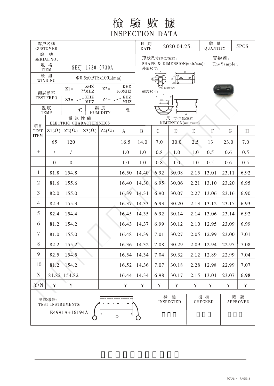檢驗數據 **INSPECTION DATA** 

| 客户名稱<br><b>CUSTOMER</b>            |              |                                  |              |                       |                             | 日期<br><b>DATE</b>                                    | 2020.04.25.           |             |                | 數 量<br><b>QUANTITY</b> |                 | 5PCS        |
|------------------------------------|--------------|----------------------------------|--------------|-----------------------|-----------------------------|------------------------------------------------------|-----------------------|-------------|----------------|------------------------|-----------------|-------------|
| 編<br>號<br>SERIAL NO.               |              |                                  |              |                       | 實物圖:<br>形狀尺寸(單位/毫米):        |                                                      |                       |             |                |                        |                 |             |
| 規 格<br><b>ITEM</b>                 |              | SHKJ 1730-0730A                  |              |                       |                             | SHAPE & DIMENSION(unit/mm):<br>The Sample::<br>外殻尺寸: |                       |             |                |                        |                 |             |
| 綫 組<br>WINDING                     |              | $\Phi$ 0.5x0.5TSx100L(mm)        | B            |                       |                             |                                                      |                       |             |                |                        |                 |             |
| 測試頻率<br><b>TEST FREQ</b>           |              | KHZ<br>$Z1=$<br>$Z2=$<br>25MHZ   |              |                       | KHZ<br>$100\mathrm{MHz}$    | ⊕C (Core ID)<br>磁芯尺寸:                                |                       |             |                |                        |                 |             |
|                                    |              | KHZ<br>$Z4=$<br>$Z3=$ -<br>MHZ   |              |                       | $\operatorname{KHZ}$<br>MHZ | F<br><b>IDH</b> (Core ID)                            |                       |             |                |                        |                 |             |
| 温度<br><b>TEMP</b>                  |              | C                                |              | 濕度<br><b>HUMIDITY</b> | $\%$                        | G                                                    |                       |             |                |                        |                 |             |
|                                    |              | 電氣性能<br>ELECTRIC CHARACTERISTICS |              |                       |                             | 尺<br>寸(單位:毫米)<br>DIMENSION(unit:mm)                  |                       |             |                |                        |                 |             |
| 項目<br><b>TEST</b>                  | $Z1(\Omega)$ | $Z2(\Omega)$                     | $Z3(\Omega)$ | $Z_4(\Omega)$         | $\bf{A}$                    | $\bf{B}$                                             | $\mathcal{C}$         | D           | E              | $\mathbf{F}$           | $\mathsf G$     | H           |
| <b>ITEM</b>                        | 65           | 120                              |              |                       | 16.5                        | 14.0                                                 | 7.0                   | 30.0        |                | 13                     | 23.0            | 7.0         |
| $+$                                | $\prime$     | $\prime$                         |              |                       | 1.0                         | 1.0                                                  | 0.8                   | 1.0         | 1.0            | 0.5                    | 0.6             | 0.5         |
|                                    | $\mathbf{0}$ | $\theta$                         |              |                       | 1.0                         | 1.0                                                  | 0.8                   | 1.0         | 1.0            | 0.5                    | 0.6             | 0.5         |
| $\mathbf{1}$                       | 81.8         | 154.8                            |              |                       | 16.50                       | 14.40                                                | 6.92                  | 30.08       | 2.15           | 13.01                  | 23.11           | 6.92        |
| $\overline{2}$                     | 81.6         | 155.6                            |              |                       | 16.40                       | 14.30                                                | 6.95                  | 30.06       | 2.21           | 13.10                  | 23.20           | 6.95        |
| 3                                  | 82.0         | 155.0                            |              |                       | 16.39                       | 14.31                                                | 6.90                  | 30.07       | 2.27           | 13.06                  | 23.16           | 6.90        |
| $\overline{4}$                     | 82.3         | 155.3                            |              |                       | 16.37                       | 6.93<br>14.33<br>30.20                               |                       |             | 2.13           | 13.12                  | 23.15           | 6.93        |
| 5                                  | 82.4         | 154.4                            |              |                       | 16.45                       | 14.35                                                | 6.92<br>30.14<br>2.14 |             |                | 13.06                  | 23.14           | 6.92        |
| 6                                  | 81.2         | 154.2                            |              |                       | 16.43                       | 14.37                                                | 6.99                  | 30.12       | 2.10           | 12.95                  | 23.09           | 6.99        |
| $\tau$                             | 81.0         | 155.0                            |              |                       | 16.48                       | 14.39                                                | 7.01                  | 30.27       | 2.05           | 12.99                  | 23.00           | 7.01        |
| 8                                  | 82.2         | 155.2                            |              |                       |                             | $16.36 \mid 14.32$                                   | 7.08                  | 30.29       |                | $2.09$   12.94         | 22.95           | 7.08        |
| 9                                  | 82.5         | 154.5                            |              |                       | 16.54                       | 14.34                                                | 7.04                  | 30.32       | 2.12           | 12.89                  | 22.99           | 7.04        |
| 10                                 | 81.2         | 154.2                            |              |                       | 16.52                       | 14.36                                                | 7.07                  | 30.18       | 2.28           | 12.98                  | 22.99           | 7.07        |
| $\overline{X}$                     | 81.82        | 154.82                           |              |                       | 16.44                       | 14.34                                                | 6.98                  | 30.17       | 2.15           | 13.01                  | 23.07           | 6.98        |
| Y/N                                | $\mathbf Y$  | $\mathbf Y$                      |              |                       | $\mathbf Y$                 | $\mathbf Y$                                          | $\mathbf Y$           | $\mathbf Y$ | $\mathbf Y$    | $\mathbf Y$            | $\mathbf Y$     | $\mathbf Y$ |
| 測試儀器:                              |              |                                  |              |                       | 檢                           | 驗                                                    |                       | 復核          | 確              | 認                      |                 |             |
| TEST INSTRUMENTS:<br>E4991A+16194A |              |                                  |              |                       |                             |                                                      | <b>INSPECTED</b>      |             | <b>CHECKED</b> |                        | <b>APPROVED</b> |             |
| $\mathsf D$<br>O                   |              |                                  |              |                       |                             |                                                      |                       |             |                |                        |                 |             |